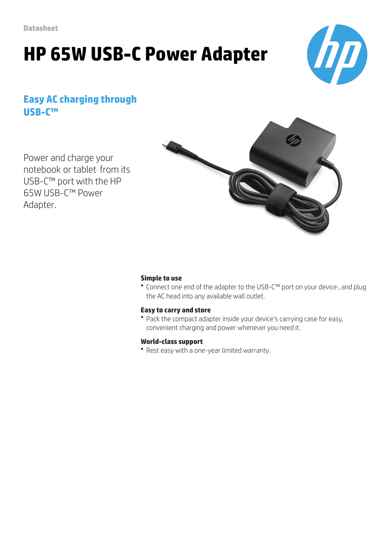# **HP 65W USB-C Power Adapter**



### **Easy AC charging through USB-C™**

Power and charge your notebook or tablet from its USB-C™ port with the HP 65W USB-C™ Power Adapter.



#### **Simple to use**

● Connect one end of the adapter to the USB-C™ port on your device<sup>1</sup>, and plug the AC head into any available wall outlet.

#### **Easy to carry and store**

• Pack the compact adapter inside your device's carrying case for easy, convenient charging and power whenever you need it.

#### **World-class support**

• Rest easy with a one-year limited warranty.